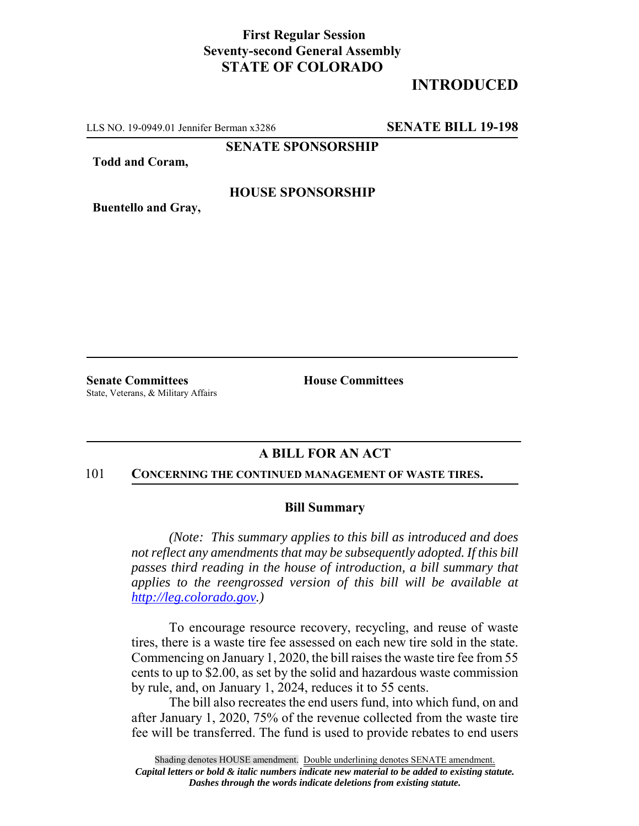## **First Regular Session Seventy-second General Assembly STATE OF COLORADO**

# **INTRODUCED**

LLS NO. 19-0949.01 Jennifer Berman x3286 **SENATE BILL 19-198**

**SENATE SPONSORSHIP**

**Todd and Coram,**

#### **HOUSE SPONSORSHIP**

**Buentello and Gray,**

**Senate Committees House Committees** State, Veterans, & Military Affairs

### **A BILL FOR AN ACT**

#### 101 **CONCERNING THE CONTINUED MANAGEMENT OF WASTE TIRES.**

#### **Bill Summary**

*(Note: This summary applies to this bill as introduced and does not reflect any amendments that may be subsequently adopted. If this bill passes third reading in the house of introduction, a bill summary that applies to the reengrossed version of this bill will be available at http://leg.colorado.gov.)*

To encourage resource recovery, recycling, and reuse of waste tires, there is a waste tire fee assessed on each new tire sold in the state. Commencing on January 1, 2020, the bill raises the waste tire fee from 55 cents to up to \$2.00, as set by the solid and hazardous waste commission by rule, and, on January 1, 2024, reduces it to 55 cents.

The bill also recreates the end users fund, into which fund, on and after January 1, 2020, 75% of the revenue collected from the waste tire fee will be transferred. The fund is used to provide rebates to end users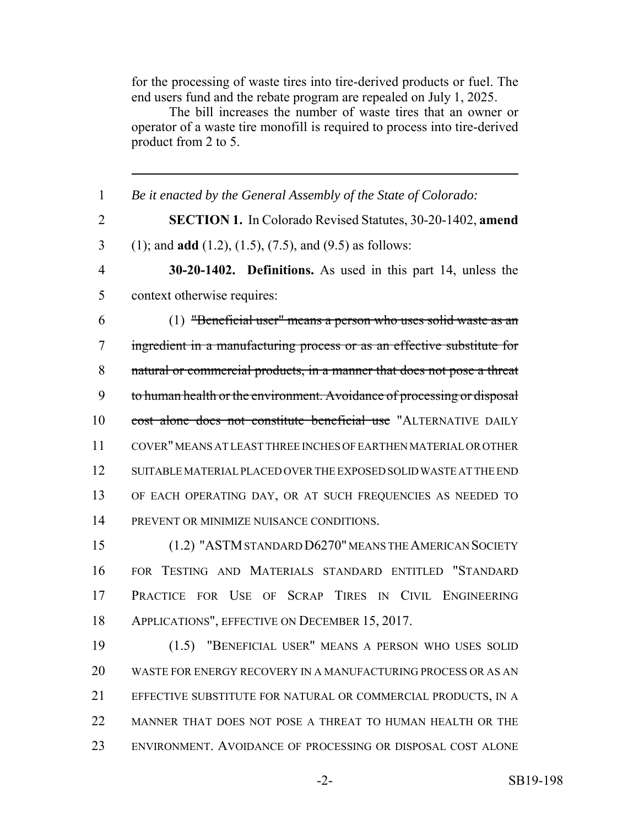for the processing of waste tires into tire-derived products or fuel. The end users fund and the rebate program are repealed on July 1, 2025.

The bill increases the number of waste tires that an owner or operator of a waste tire monofill is required to process into tire-derived product from 2 to 5.

 *Be it enacted by the General Assembly of the State of Colorado:* **SECTION 1.** In Colorado Revised Statutes, 30-20-1402, **amend** (1); and **add** (1.2), (1.5), (7.5), and (9.5) as follows: **30-20-1402. Definitions.** As used in this part 14, unless the context otherwise requires: (1) "Beneficial user" means a person who uses solid waste as an ingredient in a manufacturing process or as an effective substitute for 8 natural or commercial products, in a manner that does not pose a threat 9 to human health or the environment. Avoidance of processing or disposal 10 cost alone does not constitute beneficial use "ALTERNATIVE DAILY COVER" MEANS AT LEAST THREE INCHES OF EARTHEN MATERIAL OR OTHER SUITABLE MATERIAL PLACED OVER THE EXPOSED SOLID WASTE AT THE END OF EACH OPERATING DAY, OR AT SUCH FREQUENCIES AS NEEDED TO PREVENT OR MINIMIZE NUISANCE CONDITIONS. (1.2) "ASTM STANDARD D6270" MEANS THE AMERICAN SOCIETY FOR TESTING AND MATERIALS STANDARD ENTITLED "STANDARD PRACTICE FOR USE OF SCRAP TIRES IN CIVIL ENGINEERING APPLICATIONS", EFFECTIVE ON DECEMBER 15, 2017. (1.5) "BENEFICIAL USER" MEANS A PERSON WHO USES SOLID WASTE FOR ENERGY RECOVERY IN A MANUFACTURING PROCESS OR AS AN EFFECTIVE SUBSTITUTE FOR NATURAL OR COMMERCIAL PRODUCTS, IN A MANNER THAT DOES NOT POSE A THREAT TO HUMAN HEALTH OR THE ENVIRONMENT. AVOIDANCE OF PROCESSING OR DISPOSAL COST ALONE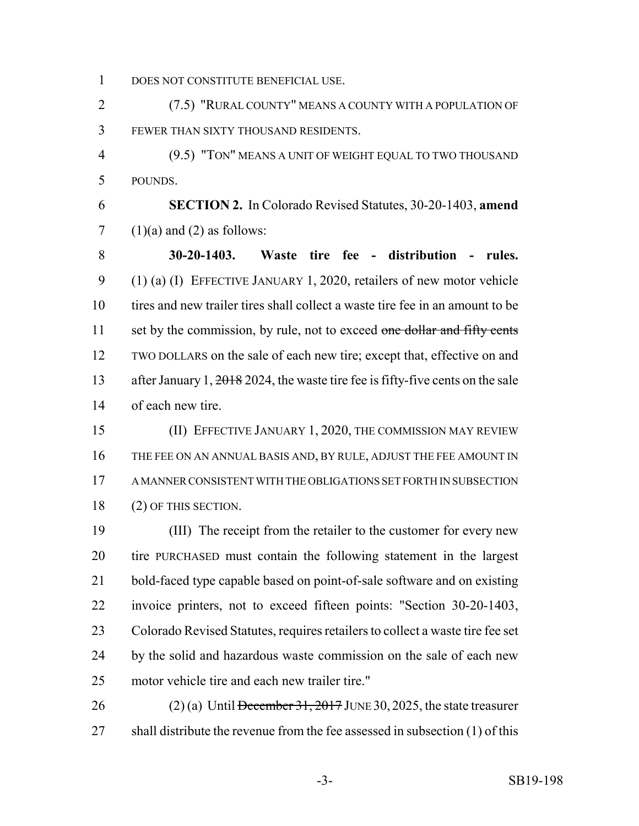DOES NOT CONSTITUTE BENEFICIAL USE.

 (7.5) "RURAL COUNTY" MEANS A COUNTY WITH A POPULATION OF FEWER THAN SIXTY THOUSAND RESIDENTS.

 (9.5) "TON" MEANS A UNIT OF WEIGHT EQUAL TO TWO THOUSAND POUNDS.

 **SECTION 2.** In Colorado Revised Statutes, 30-20-1403, **amend**  $7 \quad (1)(a)$  and  $(2)$  as follows:

 **30-20-1403. Waste tire fee - distribution - rules.** (1) (a) (I) EFFECTIVE JANUARY 1, 2020, retailers of new motor vehicle tires and new trailer tires shall collect a waste tire fee in an amount to be 11 set by the commission, by rule, not to exceed one dollar and fifty cents TWO DOLLARS on the sale of each new tire; except that, effective on and 13 after January 1, 2018 2024, the waste tire fee is fifty-five cents on the sale of each new tire.

 (II) EFFECTIVE JANUARY 1, 2020, THE COMMISSION MAY REVIEW THE FEE ON AN ANNUAL BASIS AND, BY RULE, ADJUST THE FEE AMOUNT IN A MANNER CONSISTENT WITH THE OBLIGATIONS SET FORTH IN SUBSECTION (2) OF THIS SECTION.

 (III) The receipt from the retailer to the customer for every new tire PURCHASED must contain the following statement in the largest bold-faced type capable based on point-of-sale software and on existing invoice printers, not to exceed fifteen points: "Section 30-20-1403, Colorado Revised Statutes, requires retailers to collect a waste tire fee set by the solid and hazardous waste commission on the sale of each new motor vehicle tire and each new trailer tire."

26 (2) (a) Until December 31, 2017 JUNE 30, 2025, the state treasurer 27 shall distribute the revenue from the fee assessed in subsection (1) of this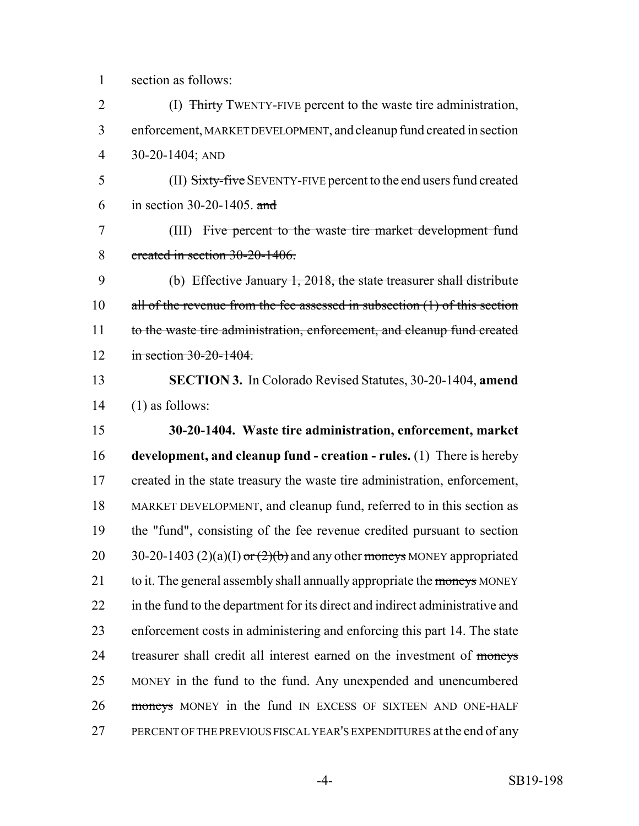section as follows:

 (I) Thirty TWENTY-FIVE percent to the waste tire administration, enforcement, MARKET DEVELOPMENT, and cleanup fund created in section 30-20-1404; AND

 (II) Sixty-five SEVENTY-FIVE percent to the end users fund created in section 30-20-1405. and

 (III) Five percent to the waste tire market development fund created in section 30-20-1406.

 (b) Effective January 1, 2018, the state treasurer shall distribute 10 all of the revenue from the fee assessed in subsection (1) of this section 11 to the waste tire administration, enforcement, and cleanup fund created 12 in section 30-20-1404

 **SECTION 3.** In Colorado Revised Statutes, 30-20-1404, **amend** (1) as follows:

 **30-20-1404. Waste tire administration, enforcement, market development, and cleanup fund - creation - rules.** (1) There is hereby created in the state treasury the waste tire administration, enforcement, MARKET DEVELOPMENT, and cleanup fund, referred to in this section as the "fund", consisting of the fee revenue credited pursuant to section  $30-20-1403$  (2)(a)(I) or (2)(b) and any other moneys MONEY appropriated 21 to it. The general assembly shall annually appropriate the moneys MONEY in the fund to the department for its direct and indirect administrative and enforcement costs in administering and enforcing this part 14. The state 24 treasurer shall credit all interest earned on the investment of moneys MONEY in the fund to the fund. Any unexpended and unencumbered 26 moneys MONEY in the fund IN EXCESS OF SIXTEEN AND ONE-HALF PERCENT OF THE PREVIOUS FISCAL YEAR'S EXPENDITURES at the end of any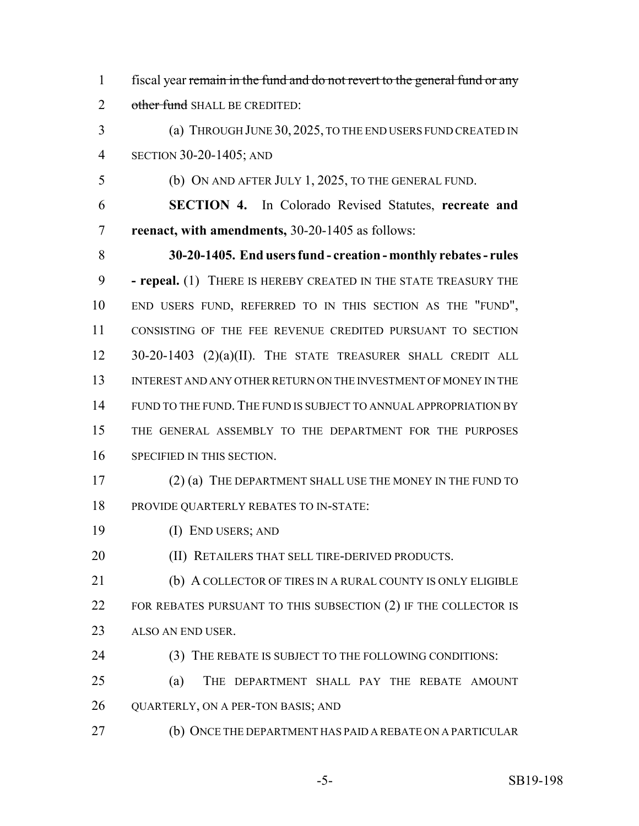fiscal year remain in the fund and do not revert to the general fund or any 2 other fund SHALL BE CREDITED:

 (a) THROUGH JUNE 30, 2025, TO THE END USERS FUND CREATED IN SECTION 30-20-1405; AND

(b) ON AND AFTER JULY 1, 2025, TO THE GENERAL FUND.

 **SECTION 4.** In Colorado Revised Statutes, **recreate and reenact, with amendments,** 30-20-1405 as follows:

 **30-20-1405. End users fund - creation - monthly rebates - rules - repeal.** (1) THERE IS HEREBY CREATED IN THE STATE TREASURY THE END USERS FUND, REFERRED TO IN THIS SECTION AS THE "FUND", CONSISTING OF THE FEE REVENUE CREDITED PURSUANT TO SECTION 30-20-1403 (2)(a)(II). THE STATE TREASURER SHALL CREDIT ALL INTEREST AND ANY OTHER RETURN ON THE INVESTMENT OF MONEY IN THE FUND TO THE FUND. THE FUND IS SUBJECT TO ANNUAL APPROPRIATION BY THE GENERAL ASSEMBLY TO THE DEPARTMENT FOR THE PURPOSES SPECIFIED IN THIS SECTION.

- 17 (2) (a) THE DEPARTMENT SHALL USE THE MONEY IN THE FUND TO PROVIDE QUARTERLY REBATES TO IN-STATE:
- (I) END USERS; AND

**(II) RETAILERS THAT SELL TIRE-DERIVED PRODUCTS.** 

21 (b) A COLLECTOR OF TIRES IN A RURAL COUNTY IS ONLY ELIGIBLE 22 FOR REBATES PURSUANT TO THIS SUBSECTION (2) IF THE COLLECTOR IS ALSO AN END USER.

24 (3) THE REBATE IS SUBJECT TO THE FOLLOWING CONDITIONS:

 (a) THE DEPARTMENT SHALL PAY THE REBATE AMOUNT 26 QUARTERLY, ON A PER-TON BASIS; AND

(b) ONCE THE DEPARTMENT HAS PAID A REBATE ON A PARTICULAR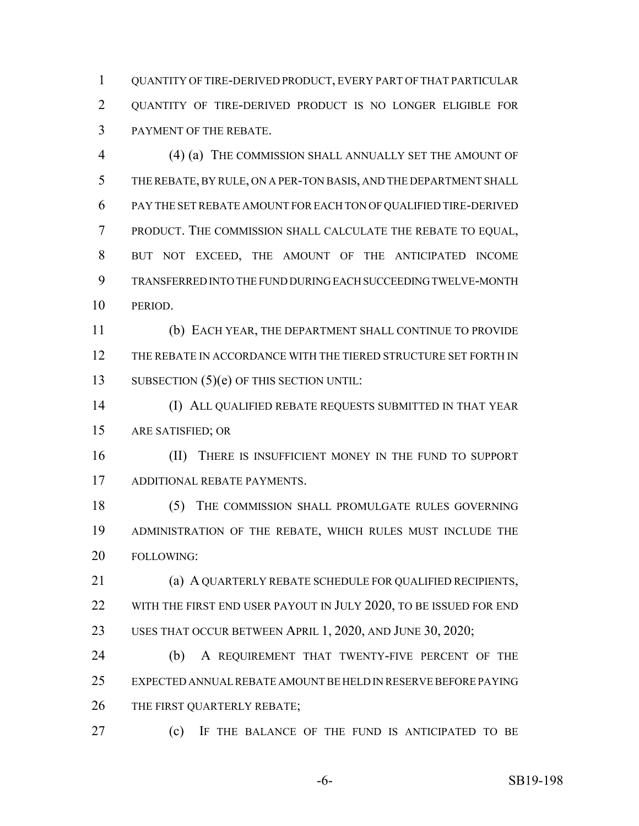QUANTITY OF TIRE-DERIVED PRODUCT, EVERY PART OF THAT PARTICULAR QUANTITY OF TIRE-DERIVED PRODUCT IS NO LONGER ELIGIBLE FOR PAYMENT OF THE REBATE.

 (4) (a) THE COMMISSION SHALL ANNUALLY SET THE AMOUNT OF THE REBATE, BY RULE, ON A PER-TON BASIS, AND THE DEPARTMENT SHALL PAY THE SET REBATE AMOUNT FOR EACH TON OF QUALIFIED TIRE-DERIVED PRODUCT. THE COMMISSION SHALL CALCULATE THE REBATE TO EQUAL, BUT NOT EXCEED, THE AMOUNT OF THE ANTICIPATED INCOME TRANSFERRED INTO THE FUND DURING EACH SUCCEEDING TWELVE-MONTH PERIOD.

 (b) EACH YEAR, THE DEPARTMENT SHALL CONTINUE TO PROVIDE THE REBATE IN ACCORDANCE WITH THE TIERED STRUCTURE SET FORTH IN 13 SUBSECTION (5)(e) OF THIS SECTION UNTIL:

 (I) ALL QUALIFIED REBATE REQUESTS SUBMITTED IN THAT YEAR ARE SATISFIED; OR

16 (II) THERE IS INSUFFICIENT MONEY IN THE FUND TO SUPPORT ADDITIONAL REBATE PAYMENTS.

 (5) THE COMMISSION SHALL PROMULGATE RULES GOVERNING ADMINISTRATION OF THE REBATE, WHICH RULES MUST INCLUDE THE FOLLOWING:

 (a) A QUARTERLY REBATE SCHEDULE FOR QUALIFIED RECIPIENTS, 22 WITH THE FIRST END USER PAYOUT IN JULY 2020, TO BE ISSUED FOR END USES THAT OCCUR BETWEEN APRIL 1, 2020, AND JUNE 30, 2020;

 (b) A REQUIREMENT THAT TWENTY-FIVE PERCENT OF THE EXPECTED ANNUAL REBATE AMOUNT BE HELD IN RESERVE BEFORE PAYING 26 THE FIRST QUARTERLY REBATE;

(c) IF THE BALANCE OF THE FUND IS ANTICIPATED TO BE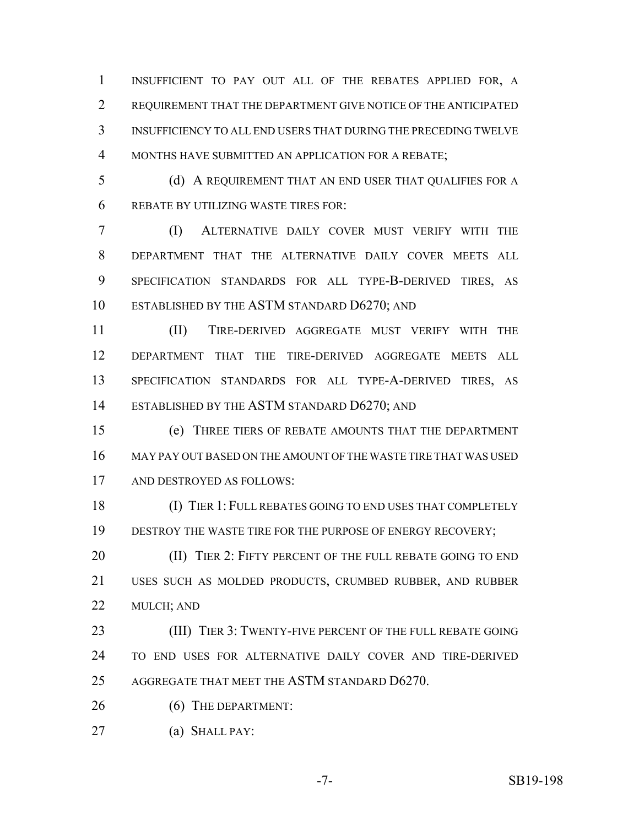INSUFFICIENT TO PAY OUT ALL OF THE REBATES APPLIED FOR, A REQUIREMENT THAT THE DEPARTMENT GIVE NOTICE OF THE ANTICIPATED INSUFFICIENCY TO ALL END USERS THAT DURING THE PRECEDING TWELVE MONTHS HAVE SUBMITTED AN APPLICATION FOR A REBATE;

 (d) A REQUIREMENT THAT AN END USER THAT QUALIFIES FOR A REBATE BY UTILIZING WASTE TIRES FOR:

 (I) ALTERNATIVE DAILY COVER MUST VERIFY WITH THE DEPARTMENT THAT THE ALTERNATIVE DAILY COVER MEETS ALL SPECIFICATION STANDARDS FOR ALL TYPE-B-DERIVED TIRES, AS ESTABLISHED BY THE ASTM STANDARD D6270; AND

 (II) TIRE-DERIVED AGGREGATE MUST VERIFY WITH THE DEPARTMENT THAT THE TIRE-DERIVED AGGREGATE MEETS ALL 13 SPECIFICATION STANDARDS FOR ALL TYPE-A-DERIVED TIRES, AS 14 ESTABLISHED BY THE ASTM STANDARD D6270; AND

 (e) THREE TIERS OF REBATE AMOUNTS THAT THE DEPARTMENT MAY PAY OUT BASED ON THE AMOUNT OF THE WASTE TIRE THAT WAS USED AND DESTROYED AS FOLLOWS:

 (I) TIER 1: FULL REBATES GOING TO END USES THAT COMPLETELY 19 DESTROY THE WASTE TIRE FOR THE PURPOSE OF ENERGY RECOVERY;

**(II) TIER 2: FIFTY PERCENT OF THE FULL REBATE GOING TO END**  USES SUCH AS MOLDED PRODUCTS, CRUMBED RUBBER, AND RUBBER MULCH; AND

23 (III) TIER 3: TWENTY-FIVE PERCENT OF THE FULL REBATE GOING TO END USES FOR ALTERNATIVE DAILY COVER AND TIRE-DERIVED AGGREGATE THAT MEET THE ASTM STANDARD D6270.

26 (6) THE DEPARTMENT:

(a) SHALL PAY:

-7- SB19-198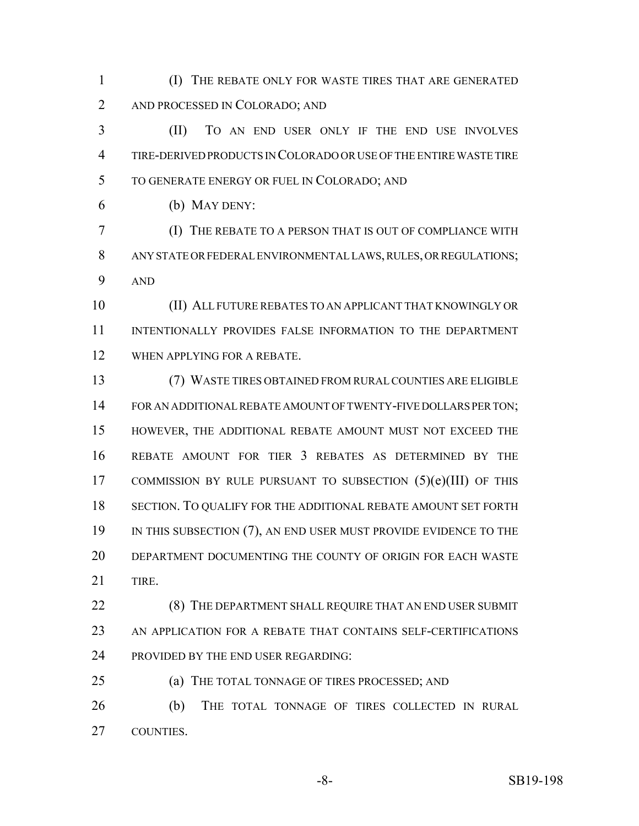(I) THE REBATE ONLY FOR WASTE TIRES THAT ARE GENERATED AND PROCESSED IN COLORADO; AND

 (II) TO AN END USER ONLY IF THE END USE INVOLVES TIRE-DERIVED PRODUCTS IN COLORADO OR USE OF THE ENTIRE WASTE TIRE TO GENERATE ENERGY OR FUEL IN COLORADO; AND

(b) MAY DENY:

 (I) THE REBATE TO A PERSON THAT IS OUT OF COMPLIANCE WITH ANY STATE OR FEDERAL ENVIRONMENTAL LAWS, RULES, OR REGULATIONS; AND

 (II) ALL FUTURE REBATES TO AN APPLICANT THAT KNOWINGLY OR INTENTIONALLY PROVIDES FALSE INFORMATION TO THE DEPARTMENT WHEN APPLYING FOR A REBATE.

 (7) WASTE TIRES OBTAINED FROM RURAL COUNTIES ARE ELIGIBLE FOR AN ADDITIONAL REBATE AMOUNT OF TWENTY-FIVE DOLLARS PER TON; HOWEVER, THE ADDITIONAL REBATE AMOUNT MUST NOT EXCEED THE REBATE AMOUNT FOR TIER 3 REBATES AS DETERMINED BY THE COMMISSION BY RULE PURSUANT TO SUBSECTION (5)(e)(III) OF THIS SECTION. TO QUALIFY FOR THE ADDITIONAL REBATE AMOUNT SET FORTH 19 IN THIS SUBSECTION (7), AN END USER MUST PROVIDE EVIDENCE TO THE DEPARTMENT DOCUMENTING THE COUNTY OF ORIGIN FOR EACH WASTE TIRE.

22 (8) THE DEPARTMENT SHALL REQUIRE THAT AN END USER SUBMIT AN APPLICATION FOR A REBATE THAT CONTAINS SELF-CERTIFICATIONS 24 PROVIDED BY THE END USER REGARDING:

(a) THE TOTAL TONNAGE OF TIRES PROCESSED; AND

 (b) THE TOTAL TONNAGE OF TIRES COLLECTED IN RURAL COUNTIES.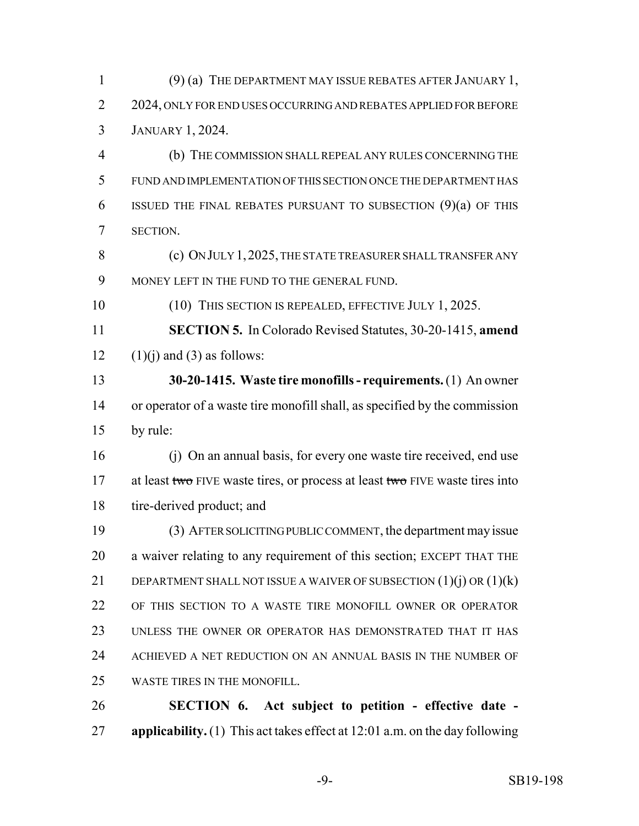(9) (a) THE DEPARTMENT MAY ISSUE REBATES AFTER JANUARY 1, 2 2024, ONLY FOR END USES OCCURRING AND REBATES APPLIED FOR BEFORE JANUARY 1, 2024.

 (b) THE COMMISSION SHALL REPEAL ANY RULES CONCERNING THE FUND AND IMPLEMENTATION OF THIS SECTION ONCE THE DEPARTMENT HAS ISSUED THE FINAL REBATES PURSUANT TO SUBSECTION (9)(a) OF THIS SECTION.

 (c) ON JULY 1,2025, THE STATE TREASURER SHALL TRANSFER ANY MONEY LEFT IN THE FUND TO THE GENERAL FUND.

10 (10) THIS SECTION IS REPEALED, EFFECTIVE JULY 1, 2025.

 **SECTION 5.** In Colorado Revised Statutes, 30-20-1415, **amend** 12  $(1)(i)$  and  $(3)$  as follows:

 **30-20-1415. Waste tire monofills - requirements.** (1) An owner or operator of a waste tire monofill shall, as specified by the commission by rule:

 (j) On an annual basis, for every one waste tire received, end use 17 at least two FIVE waste tires, or process at least two FIVE waste tires into tire-derived product; and

 (3) AFTER SOLICITING PUBLIC COMMENT, the department may issue a waiver relating to any requirement of this section; EXCEPT THAT THE 21 DEPARTMENT SHALL NOT ISSUE A WAIVER OF SUBSECTION  $(1)(i)$  OR  $(1)(k)$ 22 OF THIS SECTION TO A WASTE TIRE MONOFILL OWNER OR OPERATOR UNLESS THE OWNER OR OPERATOR HAS DEMONSTRATED THAT IT HAS ACHIEVED A NET REDUCTION ON AN ANNUAL BASIS IN THE NUMBER OF WASTE TIRES IN THE MONOFILL.

 **SECTION 6. Act subject to petition - effective date - applicability.** (1) This act takes effect at 12:01 a.m. on the day following